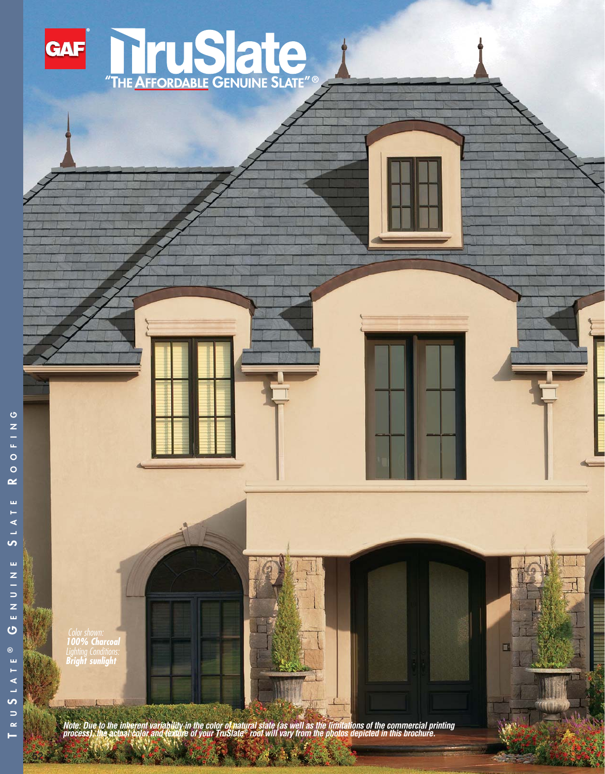